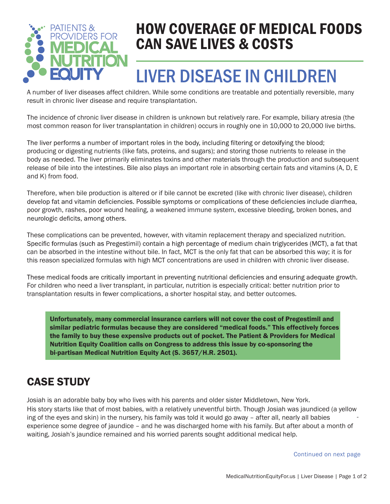

### HOW COVERAGE OF MEDICAL FOODS CAN SAVE LIVES & COSTS

## LIVER DISEASE IN CHILDREN

A number of liver diseases affect children. While some conditions are treatable and potentially reversible, many result in chronic liver disease and require transplantation.

The incidence of chronic liver disease in children is unknown but relatively rare. For example, biliary atresia (the most common reason for liver transplantation in children) occurs in roughly one in 10,000 to 20,000 live births.

The liver performs a number of important roles in the body, including filtering or detoxifying the blood; producing or digesting nutrients (like fats, proteins, and sugars); and storing those nutrients to release in the body as needed. The liver primarily eliminates toxins and other materials through the production and subsequent release of bile into the intestines. Bile also plays an important role in absorbing certain fats and vitamins (A, D, E and K) from food.

Therefore, when bile production is altered or if bile cannot be excreted (like with chronic liver disease), children develop fat and vitamin deficiencies. Possible symptoms or complications of these deficiencies include diarrhea, poor growth, rashes, poor wound healing, a weakened immune system, excessive bleeding, broken bones, and neurologic deficits, among others.

These complications can be prevented, however, with vitamin replacement therapy and specialized nutrition. Specific formulas (such as Pregestimil) contain a high percentage of medium chain triglycerides (MCT), a fat that can be absorbed in the intestine without bile. In fact, MCT is the only fat that can be absorbed this way; it is for this reason specialized formulas with high MCT concentrations are used in children with chronic liver disease.

These medical foods are critically important in preventing nutritional deficiencies and ensuring adequate growth. For children who need a liver transplant, in particular, nutrition is especially critical: better nutrition prior to transplantation results in fewer complications, a shorter hospital stay, and better outcomes.

Unfortunately, many commercial insurance carriers will not cover the cost of Pregestimil and similar pediatric formulas because they are considered "medical foods." This effectively forces the family to buy these expensive products out of pocket. The Patient & Providers for Medical Nutrition Equity Coalition calls on Congress to address this issue by co-sponsoring the bi-partisan Medical Nutrition Equity Act (S. 3657/H.R. 2501).

#### CASE STUDY

Josiah is an adorable baby boy who lives with his parents and older sister Middletown, New York. His story starts like that of most babies, with a relatively uneventful birth. Though Josiah was jaundiced (a yellow ing of the eyes and skin) in the nursery, his family was told it would go away – after all, nearly all babies experience some degree of jaundice – and he was discharged home with his family. But after about a month of waiting, Josiah's jaundice remained and his worried parents sought additional medical help.

Continued on next page